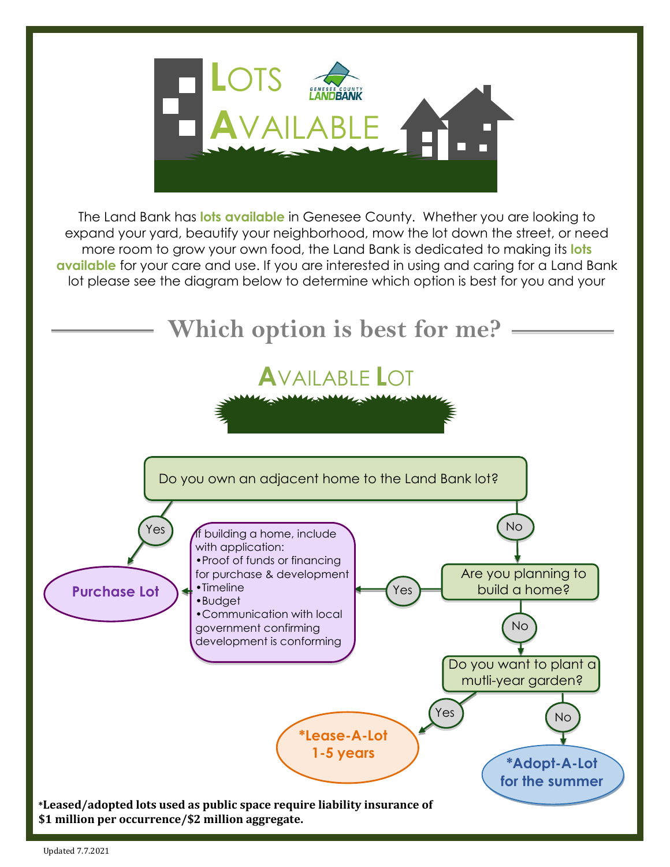

The Land Bank has **lots available** in Genesee County. Whether you are looking to expand your yard, beautify your neighborhood, mow the lot down the street, or need more room to grow your own food, the Land Bank is dedicated to making its **lots available** for your care and use. If you are interested in using and caring for a Land Bank lot please see the diagram below to determine which option is best for you and your